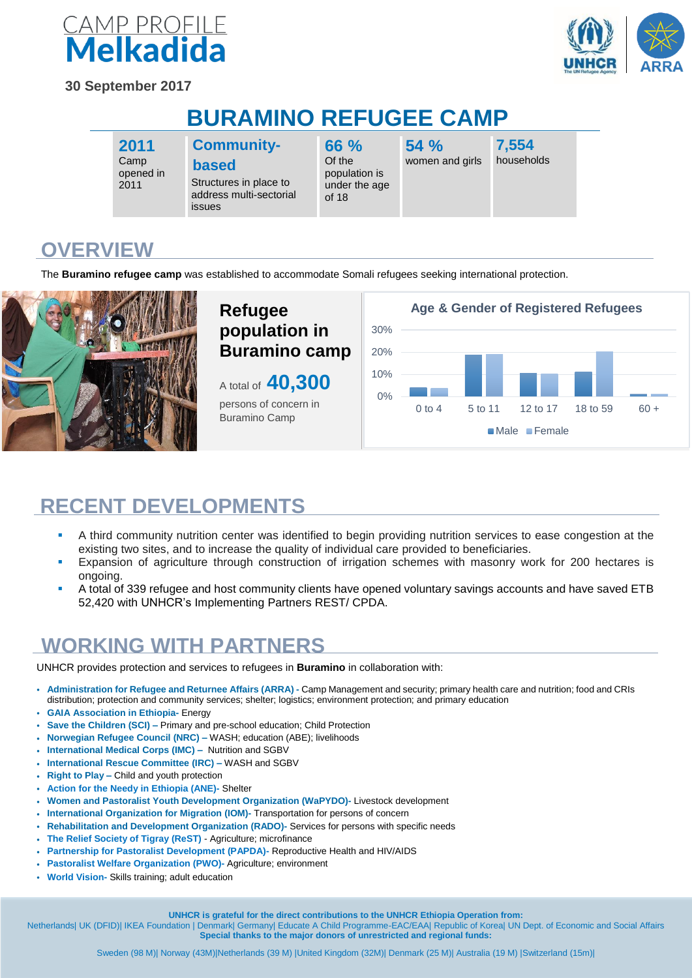

**30 September 2017**



## **BURAMINO REFUGEE CAMP**

**2011** Camp opened in 2011

#### **Communitybased**

Structures in place to address multi-sectorial issues

**66 %** Of the population is under the age of 18

**54 %** women and girls

**7,554** households

**OVERVIEW**

The **Buramino refugee camp** was established to accommodate Somali refugees seeking international protection.



### **RECENT DEVELOPMENTS**

- A third community nutrition center was identified to begin providing nutrition services to ease congestion at the existing two sites, and to increase the quality of individual care provided to beneficiaries.
- Expansion of agriculture through construction of irrigation schemes with masonry work for 200 hectares is ongoing.
- A total of 339 refugee and host community clients have opened voluntary savings accounts and have saved ETB 52,420 with UNHCR's Implementing Partners REST/ CPDA.

#### **WORKING WITH PARTNERS**

UNHCR provides protection and services to refugees in **Buramino** in collaboration with:

- **Administration for Refugee and Returnee Affairs (ARRA) -** Camp Management and security; primary health care and nutrition; food and CRIs distribution; protection and community services; shelter; logistics; environment protection; and primary education
- **GAIA Association in Ethiopia-** Energy
- **Save the Children (SCI) –** Primary and pre-school education; Child Protection
- **Norwegian Refugee Council (NRC) –** WASH; education (ABE); livelihoods
- **International Medical Corps (IMC)** Nutrition and SGBV
- **International Rescue Committee (IRC) –** WASH and SGBV
- **Right to Play –** Child and youth protection
- **Action for the Needy in Ethiopia (ANE)-** Shelter
- **Women and Pastoralist Youth Development Organization (WaPYDO)-** Livestock development
- **International Organization for Migration (IOM)-** Transportation for persons of concern
- **Rehabilitation and Development Organization (RADO)-** Services for persons with specific needs
- **The Relief Society of Tigray (ReST)** Agriculture; microfinance
- **Partnership for Pastoralist Development (PAPDA)-** Reproductive Health and HIV/AIDS
- **Pastoralist Welfare Organization (PWO)-** Agriculture; environment
- **World Vision-** Skills training; adult education

**UNHCR is grateful for the direct contributions to the UNHCR Ethiopia Operation from:**

Netherlands| UK (DFID)| IKEA Foundation | Denmark| Germany| Educate A Child Programme-EAC/EAA| Republic of Korea| UN Dept. of Economic and Social Affairs **Special thanks to the major donors of unrestricted and regional funds:**